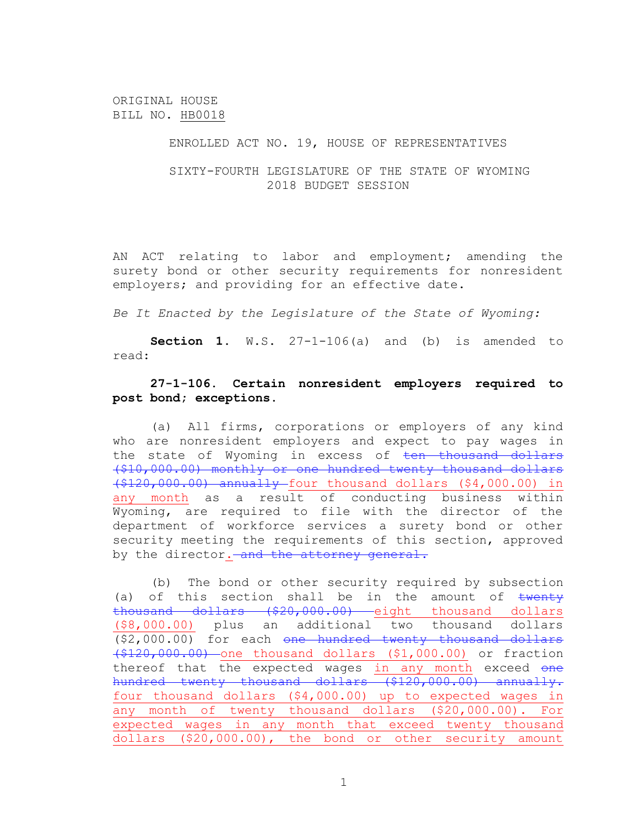ORIGINAL HOUSE BILL NO. HB0018

## ENROLLED ACT NO. 19, HOUSE OF REPRESENTATIVES

SIXTY-FOURTH LEGISLATURE OF THE STATE OF WYOMING 2018 BUDGET SESSION

AN ACT relating to labor and employment; amending the surety bond or other security requirements for nonresident employers; and providing for an effective date.

*Be It Enacted by the Legislature of the State of Wyoming:*

**Section 1.** W.S. 27-1-106(a) and (b) is amended to read:

## **27-1-106. Certain nonresident employers required to post bond; exceptions.**

(a) All firms, corporations or employers of any kind who are nonresident employers and expect to pay wages in the state of Wyoming in excess of ten thousand dollars (\$10,000.00) monthly or one hundred twenty thousand dollars (\$120,000.00) annually four thousand dollars (\$4,000.00) in any month as a result of conducting business within Wyoming, are required to file with the director of the department of workforce services a surety bond or other security meeting the requirements of this section, approved by the director. and the attorney general.

(b) The bond or other security required by subsection (a) of this section shall be in the amount of  $t$ wenty thousand dollars (\$20,000.00) eight thousand dollars (\$8,000.00) plus an additional two thousand dollars (\$2,000.00) for each one hundred twenty thousand dollars (\$120,000.00) one thousand dollars (\$1,000.00) or fraction thereof that the expected wages in any month exceed one hundred twenty thousand dollars (\$120,000.00) annually. four thousand dollars (\$4,000.00) up to expected wages in any month of twenty thousand dollars (\$20,000.00). For expected wages in any month that exceed twenty thousand dollars (\$20,000.00), the bond or other security amount